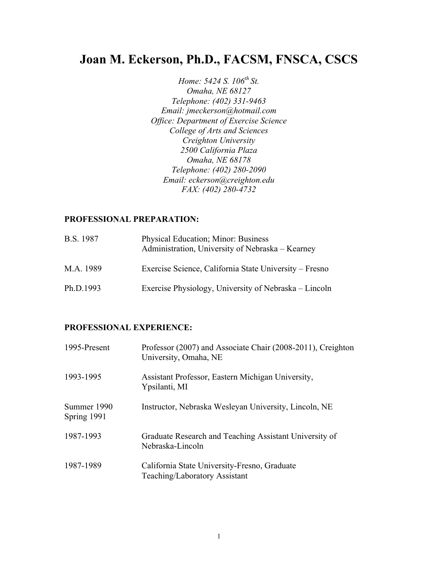# **Joan M. Eckerson, Ph.D., FACSM, FNSCA, CSCS**

*Home: 5424 S. 106<sup>th</sup> St. Omaha, NE 68127 Telephone: (402) 331-9463 Email: jmeckerson@hotmail.com Office: Department of Exercise Science College of Arts and Sciences Creighton University 2500 California Plaza Omaha, NE 68178 Telephone: (402) 280-2090 Email: eckerson@creighton.edu FAX: (402) 280-4732*

#### **PROFESSIONAL PREPARATION:**

| <b>B.S.</b> 1987 | <b>Physical Education</b> ; Minor: Business<br>Administration, University of Nebraska - Kearney |
|------------------|-------------------------------------------------------------------------------------------------|
| M.A. 1989        | Exercise Science, California State University – Fresno                                          |
| Ph.D.1993        | Exercise Physiology, University of Nebraska – Lincoln                                           |

# **PROFESSIONAL EXPERIENCE:**

| 1995-Present               | Professor (2007) and Associate Chair (2008-2011), Creighton<br>University, Omaha, NE |
|----------------------------|--------------------------------------------------------------------------------------|
| 1993-1995                  | Assistant Professor, Eastern Michigan University,<br>Ypsilanti, MI                   |
| Summer 1990<br>Spring 1991 | Instructor, Nebraska Wesleyan University, Lincoln, NE                                |
| 1987-1993                  | Graduate Research and Teaching Assistant University of<br>Nebraska-Lincoln           |
| 1987-1989                  | California State University-Fresno, Graduate<br>Teaching/Laboratory Assistant        |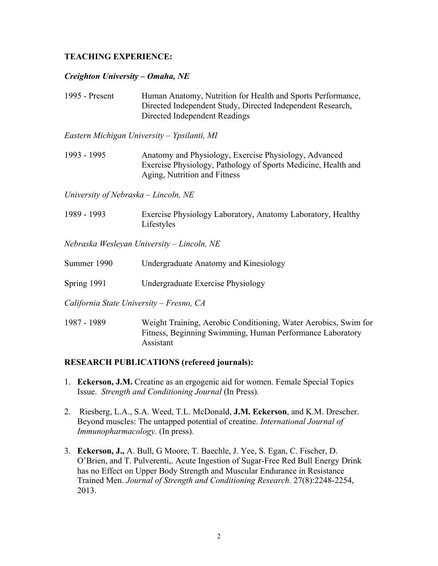# **TEACHING EXPERIENCE:**

#### *Creighton University* **–** *Omaha, NE*

1995 - Present Human Anatomy, Nutrition for Health and Sports Performance, Directed Independent Study, Directed Independent Research, Directed Independent Readings

*Eastern Michigan University – Ypsilanti, MI*

1993 - 1995 Anatomy and Physiology, Exercise Physiology, Advanced Exercise Physiology, Pathology of Sports Medicine, Health and Aging, Nutrition and Fitness

*University of Nebraska – Lincoln, NE*

1989 - 1993 Exercise Physiology Laboratory, Anatomy Laboratory, Healthy Lifestyles

*Nebraska Wesleyan University – Lincoln, NE*

| Summer 1990                              | Undergraduate Anatomy and Kinesiology                           |
|------------------------------------------|-----------------------------------------------------------------|
| Spring $1991$                            | Undergraduate Exercise Physiology                               |
| California State University – Fresno, CA |                                                                 |
| 1987 - 1989                              | Weight Training, Aerobic Conditioning, Water Aerobics, Swim for |

#### **RESEARCH PUBLICATIONS (refereed journals):**

Assistant

1. **Eckerson, J.M.** Creatine as an ergogenic aid for women. Female Special Topics Issue. *Strength and Conditioning Journal* (In Press)*.*

Fitness, Beginning Swimming, Human Performance Laboratory

- 2. Riesberg, L.A., S.A. Weed, T.L. McDonald, **J.M. Eckerson**, and K.M. Drescher. Beyond muscles: The untapped potential of creatine. *International Journal of Immunopharmacology.* (In press).
- 3. **Eckerson, J.,** A. Bull, G Moore, T. Baechle, J. Yee, S. Egan, C. Fischer, D. O'Brien, and T. Pulverenti,. Acute Ingestion of Sugar-Free Red Bull Energy Drink has no Effect on Upper Body Strength and Muscular Endurance in Resistance Trained Men. *Journal of Strength and Conditioning Research.* 27(8):2248-2254, 2013.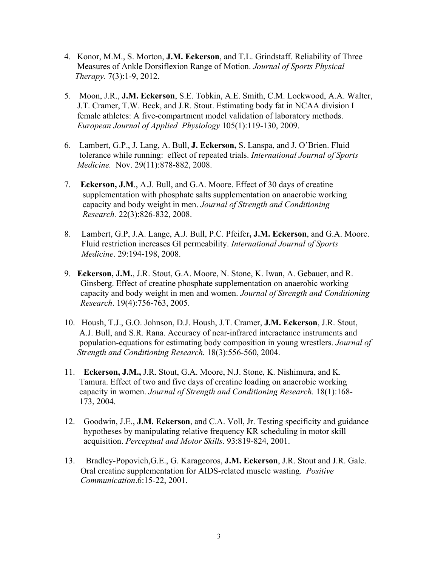- 4. Konor, M.M., S. Morton, **J.M. Eckerson**, and T.L. Grindstaff. Reliability of Three Measures of Ankle Dorsiflexion Range of Motion. *Journal of Sports Physical Therapy.* 7(3):1-9, 2012.
- 5.Moon, J.R., **J.M. Eckerson**, S.E. Tobkin, A.E. Smith, C.M. Lockwood, A.A. Walter, J.T. Cramer, T.W. Beck, and J.R. Stout. Estimating body fat in NCAA division I female athletes: A five-compartment model validation of laboratory methods. *European Journal of Applied Physiology* 105(1):119-130, 2009.
- 6. Lambert, G.P., J. Lang, A. Bull, **J. Eckerson,** S. Lanspa, and J. O'Brien. Fluid tolerance while running: effect of repeated trials. *International Journal of Sports Medicine.* Nov. 29(11):878-882, 2008.
- 7. **Eckerson, J.M**., A.J. Bull, and G.A. Moore. Effect of 30 days of creatine supplementation with phosphate salts supplementation on anaerobic working capacity and body weight in men. *Journal of Strength and Conditioning Research.* 22(3):826-832, 2008.
- 8. Lambert, G.P, J.A. Lange, A.J. Bull, P.C. Pfeifer**, J.M. Eckerson**, and G.A. Moore. Fluid restriction increases GI permeability. *International Journal of Sports Medicine*. 29:194-198, 2008.
- 9. **Eckerson, J.M.**, J.R. Stout, G.A. Moore, N. Stone, K. Iwan, A. Gebauer, and R. Ginsberg. Effect of creatine phosphate supplementation on anaerobic working capacity and body weight in men and women. *Journal of Strength and Conditioning Research*. 19(4):756-763, 2005.
- 10. Housh, T.J., G.O. Johnson, D.J. Housh, J.T. Cramer, **J.M. Eckerson**, J.R. Stout, A.J. Bull, and S.R. Rana. Accuracy of near-infrared interactance instruments and population-equations for estimating body composition in young wrestlers. *Journal of Strength and Conditioning Research.* 18(3):556-560, 2004.
- 11. **Eckerson, J.M.,** J.R. Stout, G.A. Moore, N.J. Stone, K. Nishimura, and K. Tamura. Effect of two and five days of creatine loading on anaerobic working capacity in women. *Journal of Strength and Conditioning Research.* 18(1):168- 173, 2004.
- 12. Goodwin, J.E., **J.M. Eckerson**, and C.A. Voll, Jr. Testing specificity and guidance hypotheses by manipulating relative frequency KR scheduling in motor skill acquisition. *Perceptual and Motor Skills*. 93:819-824, 2001.
- 13. Bradley-Popovich,G.E., G. Karageoros, **J.M. Eckerson**, J.R. Stout and J.R. Gale. Oral creatine supplementation for AIDS-related muscle wasting. *Positive Communication*.6:15-22, 2001.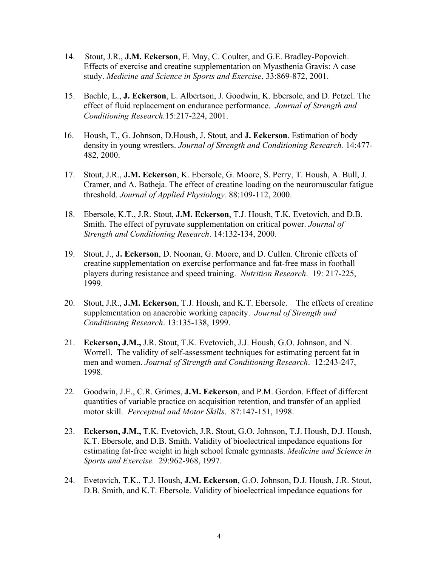- 14. Stout, J.R., **J.M. Eckerson**, E. May, C. Coulter, and G.E. Bradley-Popovich. Effects of exercise and creatine supplementation on Myasthenia Gravis: A case study. *Medicine and Science in Sports and Exercise*. 33:869-872, 2001.
- 15. Bachle, L., **J. Eckerson**, L. Albertson, J. Goodwin, K. Ebersole, and D. Petzel. The effect of fluid replacement on endurance performance. *Journal of Strength and Conditioning Research.*15:217-224, 2001.
- 16. Housh, T., G. Johnson, D.Housh, J. Stout, and **J. Eckerson**. Estimation of body density in young wrestlers. *Journal of Strength and Conditioning Research.* 14:477- 482, 2000.
- 17. Stout, J.R., **J.M. Eckerson**, K. Ebersole, G. Moore, S. Perry, T. Housh, A. Bull, J. Cramer, and A. Batheja. The effect of creatine loading on the neuromuscular fatigue threshold. *Journal of Applied Physiology.* 88:109-112, 2000.
- 18. Ebersole, K.T., J.R. Stout, **J.M. Eckerson**, T.J. Housh, T.K. Evetovich, and D.B. Smith. The effect of pyruvate supplementation on critical power. *Journal of Strength and Conditioning Research*. 14:132-134, 2000.
- 19. Stout, J., **J. Eckerson**, D. Noonan, G. Moore, and D. Cullen. Chronic effects of creatine supplementation on exercise performance and fat-free mass in football players during resistance and speed training. *Nutrition Research*. 19: 217-225, 1999.
- 20. Stout, J.R., **J.M. Eckerson**, T.J. Housh, and K.T. Ebersole. The effects of creatine supplementation on anaerobic working capacity. *Journal of Strength and Conditioning Research*. 13:135-138, 1999.
- 21. **Eckerson, J.M.,** J.R. Stout, T.K. Evetovich, J.J. Housh, G.O. Johnson, and N. Worrell. The validity of self-assessment techniques for estimating percent fat in men and women. *Journal of Strength and Conditioning Research*. 12:243-247, 1998.
- 22. Goodwin, J.E., C.R. Grimes, **J.M. Eckerson**, and P.M. Gordon. Effect of different quantities of variable practice on acquisition retention, and transfer of an applied motor skill. *Perceptual and Motor Skills*. 87:147-151, 1998.
- 23. **Eckerson, J.M.,** T.K. Evetovich, J.R. Stout, G.O. Johnson, T.J. Housh, D.J. Housh, K.T. Ebersole, and D.B. Smith. Validity of bioelectrical impedance equations for estimating fat-free weight in high school female gymnasts. *Medicine and Science in Sports and Exercise.* 29:962-968, 1997.
- 24. Evetovich, T.K., T.J. Housh, **J.M. Eckerson**, G.O. Johnson, D.J. Housh, J.R. Stout, D.B. Smith, and K.T. Ebersole. Validity of bioelectrical impedance equations for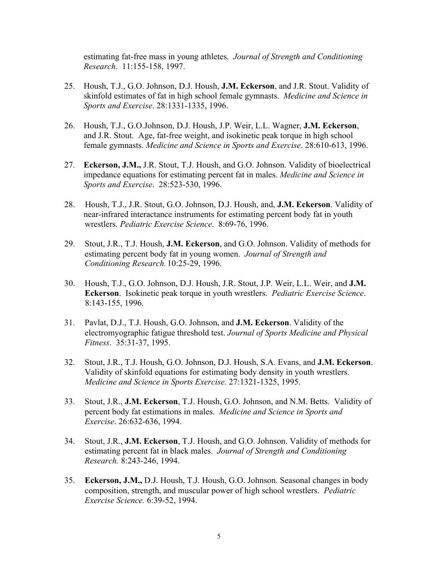estimating fat-free mass in young athletes. *Journal of Strength and Conditioning Research*. 11:155-158, 1997.

- 25. Housh, T.J., G.O. Johnson, D.J. Housh, **J.M. Eckerson**, and J.R. Stout. Validity of skinfold estimates of fat in high school female gymnasts. *Medicine and Science in Sports and Exercise*. 28:1331-1335, 1996.
- 26. Housh, T.J., G.O.Johnson, D.J. Housh, J.P. Weir, L.L. Wagner, **J.M. Eckerson**, and J.R. Stout. Age, fat-free weight, and isokinetic peak torque in high school female gymnasts. *Medicine and Science in Sports and Exercise*. 28:610-613, 1996.
- 27. **Eckerson, J.M.,** J.R. Stout, T.J. Housh, and G.O. Johnson. Validity of bioelectrical impedance equations for estimating percent fat in males. *Medicine and Science in Sports and Exercise*. 28:523-530, 1996.
- 28. Housh, T.J., J.R. Stout, G.O. Johnson, D.J. Housh, and, **J.M. Eckerson**. Validity of near-infrared interactance instruments for estimating percent body fat in youth wrestlers. *Pediatric Exercise Science*. 8:69-76, 1996.
- 29. Stout, J.R., T.J. Housh, **J.M. Eckerson**, and G.O. Johnson. Validity of methods for estimating percent body fat in young women. *Journal of Strength and Conditioning Research.* 10:25-29, 1996.
- 30. Housh, T.J., G.O. Johnson, D.J. Housh, J.R. Stout, J.P. Weir, L.L. Weir, and **J.M. Eckerson**. Isokinetic peak torque in youth wrestlers. *Pediatric Exercise Science*. 8:143-155, 1996.
- 31. Pavlat, D.J., T.J. Housh, G.O. Johnson, and **J.M. Eckerson**. Validity of the electromyographic fatigue threshold test. *Journal of Sports Medicine and Physical Fitness*. 35:31-37, 1995.
- 32. Stout, J.R., T.J. Housh, G.O. Johnson, D.J. Housh, S.A. Evans, and **J.M. Eckerson**. Validity of skinfold equations for estimating body density in youth wrestlers. *Medicine and Science in Sports Exercise*. 27:1321-1325, 1995.
- 33. Stout, J.R., **J.M. Eckerson**, T.J. Housh, G.O. Johnson, and N.M. Betts. Validity of percent body fat estimations in males. *Medicine and Science in Sports and Exercise*. 26:632-636, 1994.
- 34. Stout, J.R., **J.M. Eckerson**, T.J. Housh, and G.O. Johnson. Validity of methods for estimating percent fat in black males. *Journal of Strength and Conditioning Research.* 8:243-246, 1994.
- 35. **Eckerson, J.M.,** D.J. Housh, T.J. Housh, G.O. Johnson. Seasonal changes in body composition, strength, and muscular power of high school wrestlers. *Pediatric Exercise Science.* 6:39-52, 1994.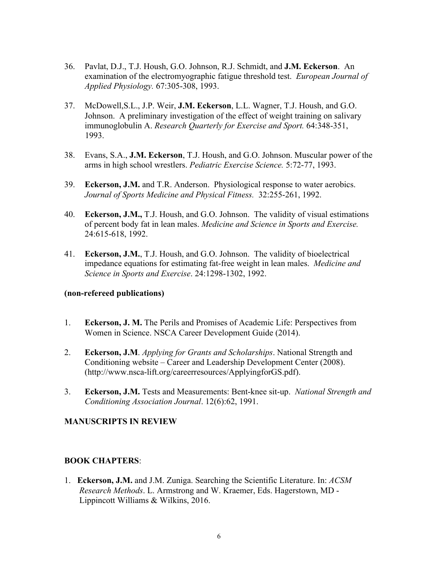- 36. Pavlat, D.J., T.J. Housh, G.O. Johnson, R.J. Schmidt, and **J.M. Eckerson**. An examination of the electromyographic fatigue threshold test. *European Journal of Applied Physiology.* 67:305-308, 1993.
- 37. McDowell,S.L., J.P. Weir, **J.M. Eckerson**, L.L. Wagner, T.J. Housh, and G.O. Johnson. A preliminary investigation of the effect of weight training on salivary immunoglobulin A. *Research Quarterly for Exercise and Sport.* 64:348-351, 1993.
- 38. Evans, S.A., **J.M. Eckerson**, T.J. Housh, and G.O. Johnson. Muscular power of the arms in high school wrestlers. *Pediatric Exercise Science.* 5:72-77, 1993.
- 39. **Eckerson, J.M.** and T.R. Anderson. Physiological response to water aerobics. *Journal of Sports Medicine and Physical Fitness.* 32:255-261, 1992.
- 40. **Eckerson, J.M.,** T.J. Housh, and G.O. Johnson. The validity of visual estimations of percent body fat in lean males. *Medicine and Science in Sports and Exercise.*  24:615-618, 1992.
- 41. **Eckerson, J.M.**, T.J. Housh, and G.O. Johnson. The validity of bioelectrical impedance equations for estimating fat-free weight in lean males. *Medicine and Science in Sports and Exercise*. 24:1298-1302, 1992.

#### **(non-refereed publications)**

- 1. **Eckerson, J. M.** The Perils and Promises of Academic Life: Perspectives from Women in Science. NSCA Career Development Guide (2014).
- 2. **Eckerson, J.M**. *Applying for Grants and Scholarships*. National Strength and Conditioning website – Career and Leadership Development Center (2008). (http://www.nsca-lift.org/careerresources/ApplyingforGS.pdf).
- 3. **Eckerson, J.M.** Tests and Measurements: Bent-knee sit-up. *National Strength and Conditioning Association Journal*. 12(6):62, 1991.

# **MANUSCRIPTS IN REVIEW**

# **BOOK CHAPTERS**:

1. **Eckerson, J.M.** and J.M. Zuniga. Searching the Scientific Literature. In: *ACSM Research Methods*. L. Armstrong and W. Kraemer, Eds. Hagerstown, MD - Lippincott Williams & Wilkins, 2016.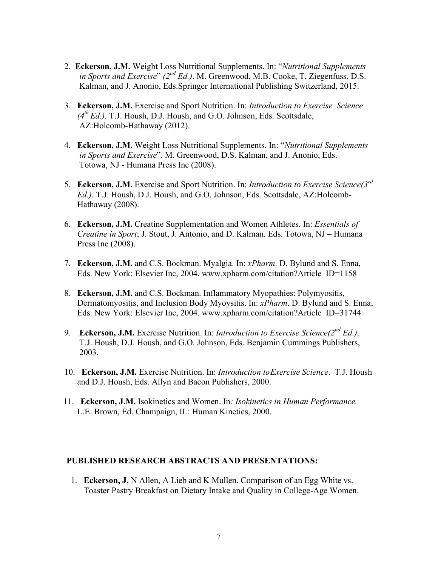- 2. **Eckerson, J.M.** Weight Loss Nutritional Supplements. In: "*Nutritional Supplements in Sports and Exercise*" (2<sup>nd</sup> *Ed.*). M. Greenwood, M.B. Cooke, T. Ziegenfuss, D.S. Kalman, and J. Anonio, Eds.Springer International Publishing Switzerland, 2015.
- 3. **Eckerson, J.M.** Exercise and Sport Nutrition. In: *Introduction to Exercise Science*  $(4<sup>th</sup> Ed.)$ . T.J. Housh, D.J. Housh, and G.O. Johnson, Eds. Scottsdale, AZ:Holcomb-Hathaway (2012).
- 4. **Eckerson, J.M.** Weight Loss Nutritional Supplements. In: "*Nutritional Supplements in Sports and Exercise*". M. Greenwood, D.S. Kalman, and J. Anonio, Eds. Totowa, NJ - Humana Press Inc (2008).
- 5. **Eckerson, J.M.** Exercise and Sport Nutrition. In: *Introduction to Exercise Science(3rd Ed.).* T.J. Housh, D.J. Housh, and G.O. Johnson, Eds. Scottsdale, AZ:Holcomb- Hathaway (2008).
- 6. **Eckerson, J.M.** Creatine Supplementation and Women Athletes. In: *Essentials of Creatine in Sport*; J. Stout, J. Antonio, and D. Kalman. Eds. Totowa, NJ – Humana Press Inc (2008).
- 7. **Eckerson, J.M.** and C.S. Bockman. Myalgia. In: *xPharm*. D. Bylund and S. Enna, Eds. New York: Elsevier Inc, 2004**.** www.xpharm.com/citation?Article\_ID=1158
- 8. **Eckerson, J.M.** and C.S. Bockman. Inflammatory Myopathies: Polymyositis, Dermatomyositis, and Inclusion Body Myoysitis. In: *xPharm*. D. Bylund and S. Enna, Eds. New York: Elsevier Inc, 2004. www.xpharm.com/citation?Article\_ID=31744
- 9. **Eckerson, J.M.** Exercise Nutrition. In: *Introduction to Exercise Science(2nd Ed.)*. T.J. Housh, D.J. Housh, and G.O. Johnson, Eds. Benjamin Cummings Publishers, 2003.
- 10. **Eckerson, J.M.** Exercise Nutrition. In: *Introduction toExercise Science*. T.J. Housh and D.J. Housh, Eds. Allyn and Bacon Publishers, 2000.
- 11. **Eckerson, J.M.** Isokinetics and Women. In*: Isokinetics in Human Performance.*  L.E. Brown, Ed. Champaign, IL: Human Kinetics, 2000.

#### **PUBLISHED RESEARCH ABSTRACTS AND PRESENTATIONS:**

1. **Eckerson, J,** N Allen, A Lieb and K Mullen. Comparison of an Egg White vs. Toaster Pastry Breakfast on Dietary Intake and Quality in College-Age Women.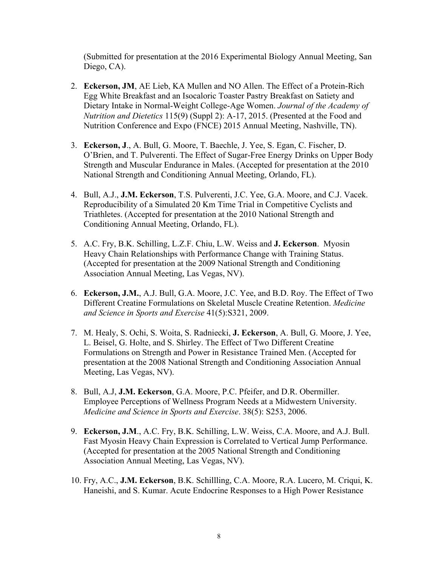(Submitted for presentation at the 2016 Experimental Biology Annual Meeting, San Diego, CA).

- 2. **Eckerson, JM**, AE Lieb, KA Mullen and NO Allen. The Effect of a Protein-Rich Egg White Breakfast and an Isocaloric Toaster Pastry Breakfast on Satiety and Dietary Intake in Normal-Weight College-Age Women. *Journal of the Academy of Nutrition and Dietetics* 115(9) (Suppl 2): A-17, 2015. (Presented at the Food and Nutrition Conference and Expo (FNCE) 2015 Annual Meeting, Nashville, TN).
- 3. **Eckerson, J**., A. Bull, G. Moore, T. Baechle, J. Yee, S. Egan, C. Fischer, D. O'Brien, and T. Pulverenti. The Effect of Sugar-Free Energy Drinks on Upper Body Strength and Muscular Endurance in Males. (Accepted for presentation at the 2010 National Strength and Conditioning Annual Meeting, Orlando, FL).
- 4. Bull, A.J., **J.M. Eckerson**, T.S. Pulverenti, J.C. Yee, G.A. Moore, and C.J. Vacek. Reproducibility of a Simulated 20 Km Time Trial in Competitive Cyclists and Triathletes. (Accepted for presentation at the 2010 National Strength and Conditioning Annual Meeting, Orlando, FL).
- 5. A.C. Fry, B.K. Schilling, L.Z.F. Chiu, L.W. Weiss and **J. Eckerson**. Myosin Heavy Chain Relationships with Performance Change with Training Status. (Accepted for presentation at the 2009 National Strength and Conditioning Association Annual Meeting, Las Vegas, NV).
- 6. **Eckerson, J.M.**, A.J. Bull, G.A. Moore, J.C. Yee, and B.D. Roy. The Effect of Two Different Creatine Formulations on Skeletal Muscle Creatine Retention. *Medicine and Science in Sports and Exercise* 41(5):S321, 2009.
- 7. M. Healy, S. Ochi, S. Woita, S. Radniecki, **J. Eckerson**, A. Bull, G. Moore, J. Yee, L. Beisel, G. Holte, and S. Shirley. The Effect of Two Different Creatine Formulations on Strength and Power in Resistance Trained Men. (Accepted for presentation at the 2008 National Strength and Conditioning Association Annual Meeting, Las Vegas, NV).
- 8. Bull, A.J, **J.M. Eckerson**, G.A. Moore, P.C. Pfeifer, and D.R. Obermiller. Employee Perceptions of Wellness Program Needs at a Midwestern University. *Medicine and Science in Sports and Exercise*. 38(5): S253, 2006.
- 9. **Eckerson, J.M**., A.C. Fry, B.K. Schilling, L.W. Weiss, C.A. Moore, and A.J. Bull. Fast Myosin Heavy Chain Expression is Correlated to Vertical Jump Performance. (Accepted for presentation at the 2005 National Strength and Conditioning Association Annual Meeting, Las Vegas, NV).
- 10. Fry, A.C., **J.M. Eckerson**, B.K. Schillling, C.A. Moore, R.A. Lucero, M. Criqui, K. Haneishi, and S. Kumar. Acute Endocrine Responses to a High Power Resistance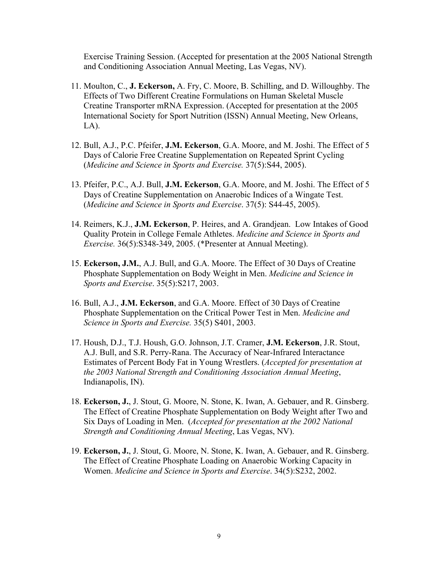Exercise Training Session. (Accepted for presentation at the 2005 National Strength and Conditioning Association Annual Meeting, Las Vegas, NV).

- 11. Moulton, C., **J. Eckerson,** A. Fry, C. Moore, B. Schilling, and D. Willoughby. The Effects of Two Different Creatine Formulations on Human Skeletal Muscle Creatine Transporter mRNA Expression. (Accepted for presentation at the 2005 International Society for Sport Nutrition (ISSN) Annual Meeting, New Orleans,  $LA$ ).
- 12. Bull, A.J., P.C. Pfeifer, **J.M. Eckerson**, G.A. Moore, and M. Joshi. The Effect of 5 Days of Calorie Free Creatine Supplementation on Repeated Sprint Cycling (*Medicine and Science in Sports and Exercise.* 37(5):S44, 2005).
- 13. Pfeifer, P.C., A.J. Bull, **J.M. Eckerson**, G.A. Moore, and M. Joshi. The Effect of 5 Days of Creatine Supplementation on Anaerobic Indices of a Wingate Test. (*Medicine and Science in Sports and Exercise*. 37(5): S44-45, 2005).
- 14. Reimers, K.J., **J.M. Eckerson**, P. Heires, and A. Grandjean. Low Intakes of Good Quality Protein in College Female Athletes. *Medicine and Science in Sports and Exercise.* 36(5):S348-349, 2005. (\*Presenter at Annual Meeting).
- 15. **Eckerson, J.M.**, A.J. Bull, and G.A. Moore. The Effect of 30 Days of Creatine Phosphate Supplementation on Body Weight in Men. *Medicine and Science in Sports and Exercise*. 35(5):S217, 2003.
- 16. Bull, A.J., **J.M. Eckerson**, and G.A. Moore. Effect of 30 Days of Creatine Phosphate Supplementation on the Critical Power Test in Men. *Medicine and Science in Sports and Exercise.* 35(5) S401, 2003.
- 17. Housh, D.J., T.J. Housh, G.O. Johnson, J.T. Cramer, **J.M. Eckerson**, J.R. Stout, A.J. Bull, and S.R. Perry-Rana. The Accuracy of Near-Infrared Interactance Estimates of Percent Body Fat in Young Wrestlers. (*Accepted for presentation at the 2003 National Strength and Conditioning Association Annual Meeting*, Indianapolis, IN).
- 18. **Eckerson, J.**, J. Stout, G. Moore, N. Stone, K. Iwan, A. Gebauer, and R. Ginsberg. The Effect of Creatine Phosphate Supplementation on Body Weight after Two and Six Days of Loading in Men. (*Accepted for presentation at the 2002 National Strength and Conditioning Annual Meeting*, Las Vegas, NV).
- 19. **Eckerson, J.**, J. Stout, G. Moore, N. Stone, K. Iwan, A. Gebauer, and R. Ginsberg. The Effect of Creatine Phosphate Loading on Anaerobic Working Capacity in Women. *Medicine and Science in Sports and Exercise*. 34(5):S232, 2002.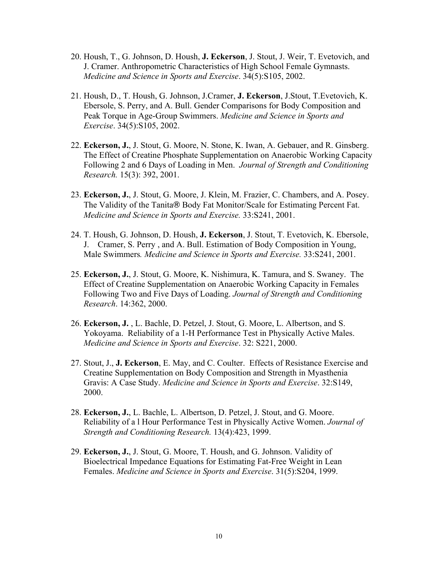- 20. Housh, T., G. Johnson, D. Housh, **J. Eckerson**, J. Stout, J. Weir, T. Evetovich, and J. Cramer. Anthropometric Characteristics of High School Female Gymnasts. *Medicine and Science in Sports and Exercise*. 34(5):S105, 2002.
- 21. Housh, D., T. Housh, G. Johnson, J.Cramer, **J. Eckerson**, J.Stout, T.Evetovich, K. Ebersole, S. Perry, and A. Bull. Gender Comparisons for Body Composition and Peak Torque in Age-Group Swimmers. *Medicine and Science in Sports and Exercise*. 34(5):S105, 2002.
- 22. **Eckerson, J.**, J. Stout, G. Moore, N. Stone, K. Iwan, A. Gebauer, and R. Ginsberg. The Effect of Creatine Phosphate Supplementation on Anaerobic Working Capacity Following 2 and 6 Days of Loading in Men. *Journal of Strength and Conditioning Research.* 15(3): 392, 2001.
- 23. **Eckerson, J.**, J. Stout, G. Moore, J. Klein, M. Frazier, C. Chambers, and A. Posey. The Validity of the Tanita® Body Fat Monitor/Scale for Estimating Percent Fat. *Medicine and Science in Sports and Exercise.* 33:S241, 2001.
- 24. T. Housh, G. Johnson, D. Housh, **J. Eckerson**, J. Stout, T. Evetovich, K. Ebersole, J. Cramer, S. Perry , and A. Bull. Estimation of Body Composition in Young, Male Swimmers*. Medicine and Science in Sports and Exercise.* 33:S241, 2001.
- 25. **Eckerson, J.**, J. Stout, G. Moore, K. Nishimura, K. Tamura, and S. Swaney. The Effect of Creatine Supplementation on Anaerobic Working Capacity in Females Following Two and Five Days of Loading. *Journal of Strength and Conditioning Research*. 14:362, 2000.
- 26. **Eckerson, J.** , L. Bachle, D. Petzel, J. Stout, G. Moore, L. Albertson, and S. Yokoyama. Reliability of a 1-H Performance Test in Physically Active Males. *Medicine and Science in Sports and Exercise*. 32: S221, 2000.
- 27. Stout, J., **J. Eckerson**, E. May, and C. Coulter. Effects of Resistance Exercise and Creatine Supplementation on Body Composition and Strength in Myasthenia Gravis: A Case Study. *Medicine and Science in Sports and Exercise*. 32:S149, 2000.
- 28. **Eckerson, J.**, L. Bachle, L. Albertson, D. Petzel, J. Stout, and G. Moore. Reliability of a l Hour Performance Test in Physically Active Women. *Journal of Strength and Conditioning Research.* 13(4):423, 1999.
- 29. **Eckerson, J.**, J. Stout, G. Moore, T. Housh, and G. Johnson. Validity of Bioelectrical Impedance Equations for Estimating Fat-Free Weight in Lean Females. *Medicine and Science in Sports and Exercise*. 31(5):S204, 1999.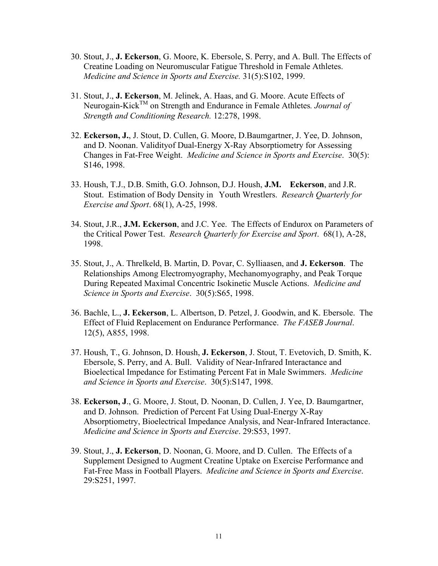- 30. Stout, J., **J. Eckerson**, G. Moore, K. Ebersole, S. Perry, and A. Bull. The Effects of Creatine Loading on Neuromuscular Fatigue Threshold in Female Athletes. *Medicine and Science in Sports and Exercise.* 31(5):S102, 1999.
- 31. Stout, J., **J. Eckerson**, M. Jelinek, A. Haas, and G. Moore. Acute Effects of Neurogain-KickTM on Strength and Endurance in Female Athletes*. Journal of Strength and Conditioning Research.* 12:278, 1998.
- 32. **Eckerson, J.**, J. Stout, D. Cullen, G. Moore, D.Baumgartner, J. Yee, D. Johnson, and D. Noonan. Validityof Dual-Energy X-Ray Absorptiometry for Assessing Changes in Fat-Free Weight. *Medicine and Science in Sports and Exercise*. 30(5): S146, 1998.
- 33. Housh, T.J., D.B. Smith, G.O. Johnson, D.J. Housh, **J.M. Eckerson**, and J.R. Stout. Estimation of Body Density in Youth Wrestlers. *Research Quarterly for Exercise and Sport*. 68(1), A-25, 1998.
- 34. Stout, J.R., **J.M. Eckerson**, and J.C. Yee. The Effects of Endurox on Parameters of the Critical Power Test. *Research Quarterly for Exercise and Sport*. 68(1), A-28, 1998.
- 35. Stout, J., A. Threlkeld, B. Martin, D. Povar, C. Sylliaasen, and **J. Eckerson**. The Relationships Among Electromyography, Mechanomyography, and Peak Torque During Repeated Maximal Concentric Isokinetic Muscle Actions. *Medicine and Science in Sports and Exercise*. 30(5):S65, 1998.
- 36. Bachle, L., **J. Eckerson**, L. Albertson, D. Petzel, J. Goodwin, and K. Ebersole. The Effect of Fluid Replacement on Endurance Performance. *The FASEB Journal*. 12(5), A855, 1998.
- 37. Housh, T., G. Johnson, D. Housh, **J. Eckerson**, J. Stout, T. Evetovich, D. Smith, K. Ebersole, S. Perry, and A. Bull. Validity of Near-Infrared Interactance and Bioelectical Impedance for Estimating Percent Fat in Male Swimmers. *Medicine and Science in Sports and Exercise*. 30(5):S147, 1998.
- 38. **Eckerson, J**., G. Moore, J. Stout, D. Noonan, D. Cullen, J. Yee, D. Baumgartner, and D. Johnson. Prediction of Percent Fat Using Dual-Energy X-Ray Absorptiometry, Bioelectrical Impedance Analysis, and Near-Infrared Interactance. *Medicine and Science in Sports and Exercise*. 29:S53, 1997.
- 39. Stout, J., **J. Eckerson**, D. Noonan, G. Moore, and D. Cullen. The Effects of a Supplement Designed to Augment Creatine Uptake on Exercise Performance and Fat-Free Mass in Football Players. *Medicine and Science in Sports and Exercise*. 29:S251, 1997.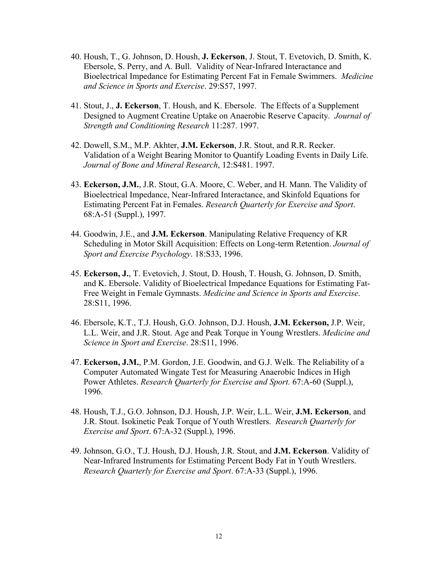- 40. Housh, T., G. Johnson, D. Housh, **J. Eckerson**, J. Stout, T. Evetovich, D. Smith, K. Ebersole, S. Perry, and A. Bull. Validity of Near-Infrared Interactance and Bioelectrical Impedance for Estimating Percent Fat in Female Swimmers. *Medicine and Science in Sports and Exercise*. 29:S57, 1997.
- 41. Stout, J., **J. Eckerson**, T. Housh, and K. Ebersole. The Effects of a Supplement Designed to Augment Creatine Uptake on Anaerobic Reserve Capacity*. Journal of Strength and Conditioning Research* 11:287. 1997.
- 42. Dowell, S.M., M.P. Akhter, **J.M. Eckerson**, J.R. Stout, and R.R. Recker. Validation of a Weight Bearing Monitor to Quantify Loading Events in Daily Life. *Journal of Bone and Mineral Research*, 12:S481. 1997.
- 43. **Eckerson, J.M.**, J.R. Stout, G.A. Moore, C. Weber, and H. Mann. The Validity of Bioelectrical Impedance, Near-Infrared Interactance, and Skinfold Equations for Estimating Percent Fat in Females. *Research Quarterly for Exercise and Sport*. 68:A-51 (Suppl.), 1997.
- 44. Goodwin, J.E., and **J.M. Eckerson**. Manipulating Relative Frequency of KR Scheduling in Motor Skill Acquisition: Effects on Long-term Retention. *Journal of Sport and Exercise Psychology*. 18:S33, 1996.
- 45. **Eckerson, J.**, T. Evetovich, J. Stout, D. Housh, T. Housh, G. Johnson, D. Smith, and K. Ebersole. Validity of Bioelectrical Impedance Equations for Estimating Fat-Free Weight in Female Gymnasts. *Medicine and Science in Sports and Exercise*. 28:S11, 1996.
- 46. Ebersole, K.T., T.J. Housh, G.O. Johnson, D.J. Housh, **J.M. Eckerson,** J.P. Weir, L.L. Weir, and J.R. Stout. Age and Peak Torque in Young Wrestlers. *Medicine and Science in Sport and Exercise*. 28:S11, 1996.
- 47. **Eckerson, J.M.**, P.M. Gordon, J.E. Goodwin, and G.J. Welk. The Reliability of a Computer Automated Wingate Test for Measuring Anaerobic Indices in High Power Athletes. *Research Quarterly for Exercise and Sport.* 67:A-60 (Suppl.), 1996.
- 48. Housh, T.J., G.O. Johnson, D.J. Housh, J.P. Weir, L.L. Weir, **J.M. Eckerson**, and J.R. Stout. Isokinetic Peak Torque of Youth Wrestlers. *Research Quarterly for Exercise and Sport*. 67:A-32 (Suppl.), 1996.
- 49. Johnson, G.O., T.J. Housh, D.J. Housh, J.R. Stout, and **J.M. Eckerson**. Validity of Near-Infrared Instruments for Estimating Percent Body Fat in Youth Wrestlers. *Research Quarterly for Exercise and Sport*. 67:A-33 (Suppl.), 1996.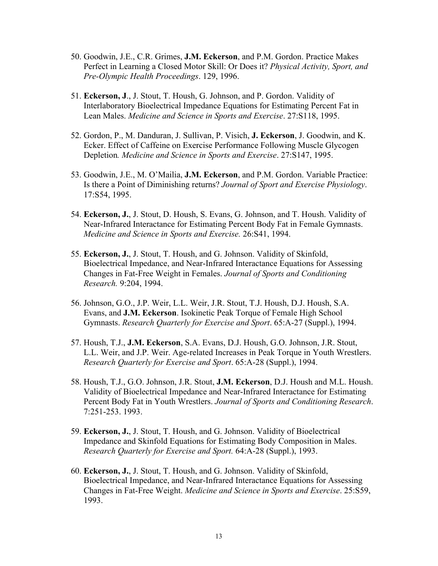- 50. Goodwin, J.E., C.R. Grimes, **J.M. Eckerson**, and P.M. Gordon. Practice Makes Perfect in Learning a Closed Motor Skill: Or Does it? *Physical Activity, Sport, and Pre-Olympic Health Proceedings*. 129, 1996.
- 51. **Eckerson, J**., J. Stout, T. Housh, G. Johnson, and P. Gordon. Validity of Interlaboratory Bioelectrical Impedance Equations for Estimating Percent Fat in Lean Males. *Medicine and Science in Sports and Exercise*. 27:S118, 1995.
- 52. Gordon, P., M. Danduran, J. Sullivan, P. Visich, **J. Eckerson**, J. Goodwin, and K. Ecker. Effect of Caffeine on Exercise Performance Following Muscle Glycogen Depletion*. Medicine and Science in Sports and Exercise*. 27:S147, 1995.
- 53. Goodwin, J.E., M. O'Mailia, **J.M. Eckerson**, and P.M. Gordon. Variable Practice: Is there a Point of Diminishing returns? *Journal of Sport and Exercise Physiology*. 17:S54, 1995.
- 54. **Eckerson, J.**, J. Stout, D. Housh, S. Evans, G. Johnson, and T. Housh. Validity of Near-Infrared Interactance for Estimating Percent Body Fat in Female Gymnasts. *Medicine and Science in Sports and Exercise.* 26:S41, 1994.
- 55. **Eckerson, J.**, J. Stout, T. Housh, and G. Johnson. Validity of Skinfold, Bioelectrical Impedance, and Near-Infrared Interactance Equations for Assessing Changes in Fat-Free Weight in Females. *Journal of Sports and Conditioning Research.* 9:204, 1994.
- 56. Johnson, G.O., J.P. Weir, L.L. Weir, J.R. Stout, T.J. Housh, D.J. Housh, S.A. Evans, and **J.M. Eckerson**. Isokinetic Peak Torque of Female High School Gymnasts. *Research Quarterly for Exercise and Sport*. 65:A-27 (Suppl.), 1994.
- 57. Housh, T.J., **J.M. Eckerson**, S.A. Evans, D.J. Housh, G.O. Johnson, J.R. Stout, L.L. Weir, and J.P. Weir. Age-related Increases in Peak Torque in Youth Wrestlers. *Research Quarterly for Exercise and Sport*. 65:A-28 (Suppl.), 1994.
- 58. Housh, T.J., G.O. Johnson, J.R. Stout, **J.M. Eckerson**, D.J. Housh and M.L. Housh. Validity of Bioelectrical Impedance and Near-Infrared Interactance for Estimating Percent Body Fat in Youth Wrestlers. *Journal of Sports and Conditioning Research*. 7:251-253. 1993.
- 59. **Eckerson, J.**, J. Stout, T. Housh, and G. Johnson. Validity of Bioelectrical Impedance and Skinfold Equations for Estimating Body Composition in Males. *Research Quarterly for Exercise and Sport.* 64:A-28 (Suppl.), 1993.
- 60. **Eckerson, J.**, J. Stout, T. Housh, and G. Johnson. Validity of Skinfold, Bioelectrical Impedance, and Near-Infrared Interactance Equations for Assessing Changes in Fat-Free Weight. *Medicine and Science in Sports and Exercise*. 25:S59, 1993.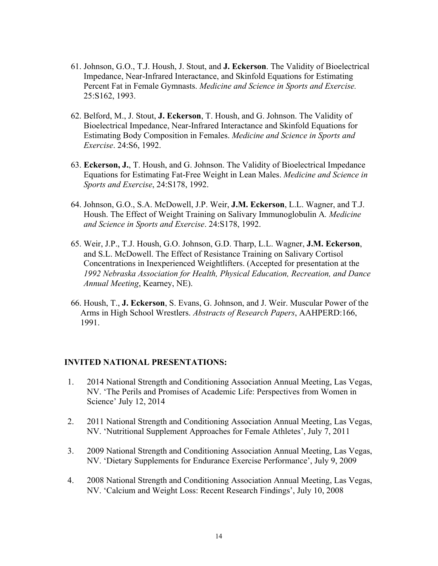- 61. Johnson, G.O., T.J. Housh, J. Stout, and **J. Eckerson**. The Validity of Bioelectrical Impedance, Near-Infrared Interactance, and Skinfold Equations for Estimating Percent Fat in Female Gymnasts. *Medicine and Science in Sports and Exercise.* 25:S162, 1993.
- 62. Belford, M., J. Stout, **J. Eckerson**, T. Housh, and G. Johnson. The Validity of Bioelectrical Impedance, Near-Infrared Interactance and Skinfold Equations for Estimating Body Composition in Females. *Medicine and Science in Sports and Exercise*. 24:S6, 1992.
- 63. **Eckerson, J.**, T. Housh, and G. Johnson. The Validity of Bioelectrical Impedance Equations for Estimating Fat-Free Weight in Lean Males. *Medicine and Science in Sports and Exercise*, 24:S178, 1992.
- 64. Johnson, G.O., S.A. McDowell, J.P. Weir, **J.M. Eckerson**, L.L. Wagner, and T.J. Housh. The Effect of Weight Training on Salivary Immunoglobulin A*. Medicine and Science in Sports and Exercise*. 24:S178, 1992.
- 65. Weir, J.P., T.J. Housh, G.O. Johnson, G.D. Tharp, L.L. Wagner, **J.M. Eckerson**, and S.L. McDowell. The Effect of Resistance Training on Salivary Cortisol Concentrations in Inexperienced Weightlifters. (Accepted for presentation at the *1992 Nebraska Association for Health, Physical Education, Recreation, and Dance Annual Meeting*, Kearney, NE).
- 66. Housh, T., **J. Eckerson**, S. Evans, G. Johnson, and J. Weir. Muscular Power of the Arms in High School Wrestlers. *Abstracts of Research Papers*, AAHPERD:166, 1991.

#### **INVITED NATIONAL PRESENTATIONS:**

- 1. 2014 National Strength and Conditioning Association Annual Meeting, Las Vegas, NV. 'The Perils and Promises of Academic Life: Perspectives from Women in Science' July 12, 2014
- 2. 2011 National Strength and Conditioning Association Annual Meeting, Las Vegas, NV. 'Nutritional Supplement Approaches for Female Athletes', July 7, 2011
- 3. 2009 National Strength and Conditioning Association Annual Meeting, Las Vegas, NV. 'Dietary Supplements for Endurance Exercise Performance', July 9, 2009
- 4. 2008 National Strength and Conditioning Association Annual Meeting, Las Vegas, NV. 'Calcium and Weight Loss: Recent Research Findings', July 10, 2008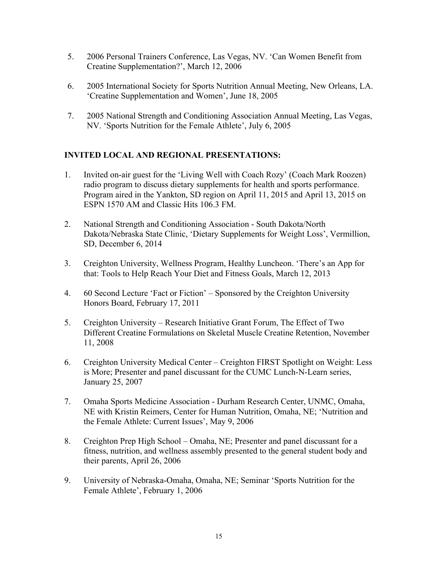- 5. 2006 Personal Trainers Conference, Las Vegas, NV. 'Can Women Benefit from Creatine Supplementation?', March 12, 2006
- 6. 2005 International Society for Sports Nutrition Annual Meeting, New Orleans, LA. 'Creatine Supplementation and Women', June 18, 2005
- 7. 2005 National Strength and Conditioning Association Annual Meeting, Las Vegas, NV. 'Sports Nutrition for the Female Athlete', July 6, 2005

# **INVITED LOCAL AND REGIONAL PRESENTATIONS:**

- 1. Invited on-air guest for the 'Living Well with Coach Rozy' (Coach Mark Roozen) radio program to discuss dietary supplements for health and sports performance. Program aired in the Yankton, SD region on April 11, 2015 and April 13, 2015 on ESPN 1570 AM and Classic Hits 106.3 FM.
- 2. National Strength and Conditioning Association South Dakota/North Dakota/Nebraska State Clinic, 'Dietary Supplements for Weight Loss', Vermillion, SD, December 6, 2014
- 3. Creighton University, Wellness Program, Healthy Luncheon. 'There's an App for that: Tools to Help Reach Your Diet and Fitness Goals, March 12, 2013
- 4. 60 Second Lecture 'Fact or Fiction' Sponsored by the Creighton University Honors Board, February 17, 2011
- 5. Creighton University Research Initiative Grant Forum, The Effect of Two Different Creatine Formulations on Skeletal Muscle Creatine Retention, November 11, 2008
- 6. Creighton University Medical Center Creighton FIRST Spotlight on Weight: Less is More; Presenter and panel discussant for the CUMC Lunch-N-Learn series, January 25, 2007
- 7. Omaha Sports Medicine Association Durham Research Center, UNMC, Omaha, NE with Kristin Reimers, Center for Human Nutrition, Omaha, NE; 'Nutrition and the Female Athlete: Current Issues', May 9, 2006
- 8. Creighton Prep High School Omaha, NE; Presenter and panel discussant for a fitness, nutrition, and wellness assembly presented to the general student body and their parents, April 26, 2006
- 9. University of Nebraska-Omaha, Omaha, NE; Seminar 'Sports Nutrition for the Female Athlete', February 1, 2006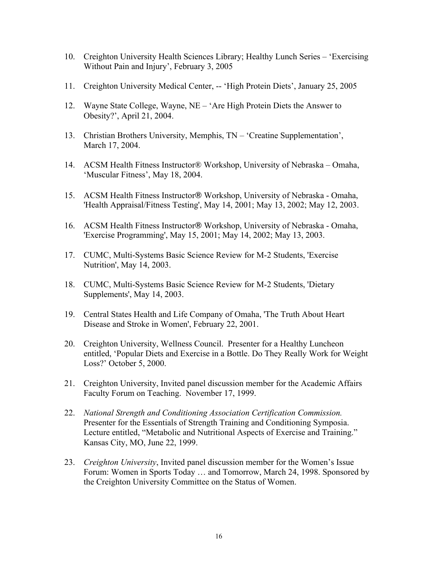- 10. Creighton University Health Sciences Library; Healthy Lunch Series 'Exercising Without Pain and Injury', February 3, 2005
- 11. Creighton University Medical Center, -- 'High Protein Diets', January 25, 2005
- 12. Wayne State College, Wayne, NE 'Are High Protein Diets the Answer to Obesity?', April 21, 2004.
- 13. Christian Brothers University, Memphis, TN 'Creatine Supplementation', March 17, 2004.
- 14. ACSM Health Fitness Instructor® Workshop, University of Nebraska Omaha, 'Muscular Fitness', May 18, 2004.
- 15. ACSM Health Fitness Instructor® Workshop, University of Nebraska Omaha, 'Health Appraisal/Fitness Testing', May 14, 2001; May 13, 2002; May 12, 2003.
- 16. ACSM Health Fitness Instructor® Workshop, University of Nebraska Omaha, 'Exercise Programming', May 15, 2001; May 14, 2002; May 13, 2003.
- 17. CUMC, Multi-Systems Basic Science Review for M-2 Students, 'Exercise Nutrition', May 14, 2003.
- 18. CUMC, Multi-Systems Basic Science Review for M-2 Students, 'Dietary Supplements', May 14, 2003.
- 19. Central States Health and Life Company of Omaha, 'The Truth About Heart Disease and Stroke in Women', February 22, 2001.
- 20. Creighton University, Wellness Council. Presenter for a Healthy Luncheon entitled, 'Popular Diets and Exercise in a Bottle. Do They Really Work for Weight Loss?' October 5, 2000.
- 21. Creighton University, Invited panel discussion member for the Academic Affairs Faculty Forum on Teaching. November 17, 1999.
- 22. *National Strength and Conditioning Association Certification Commission.* Presenter for the Essentials of Strength Training and Conditioning Symposia. Lecture entitled, "Metabolic and Nutritional Aspects of Exercise and Training." Kansas City, MO, June 22, 1999.
- 23. *Creighton University*, Invited panel discussion member for the Women's Issue Forum: Women in Sports Today … and Tomorrow, March 24, 1998. Sponsored by the Creighton University Committee on the Status of Women.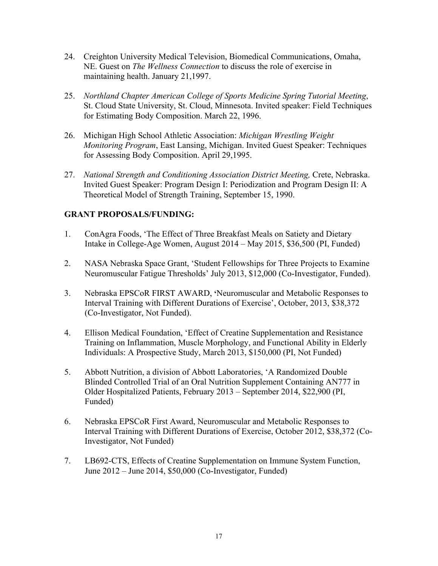- 24. Creighton University Medical Television, Biomedical Communications, Omaha, NE. Guest on *The Wellness Connection* to discuss the role of exercise in maintaining health. January 21,1997.
- 25. *Northland Chapter American College of Sports Medicine Spring Tutorial Meeting*, St. Cloud State University, St. Cloud, Minnesota. Invited speaker: Field Techniques for Estimating Body Composition. March 22, 1996.
- 26. Michigan High School Athletic Association: *Michigan Wrestling Weight Monitoring Program*, East Lansing, Michigan. Invited Guest Speaker: Techniques for Assessing Body Composition. April 29,1995.
- 27. *National Strength and Conditioning Association District Meeting, Crete, Nebraska.* Invited Guest Speaker: Program Design I: Periodization and Program Design II: A Theoretical Model of Strength Training, September 15, 1990.

# **GRANT PROPOSALS/FUNDING:**

- 1. ConAgra Foods, 'The Effect of Three Breakfast Meals on Satiety and Dietary Intake in College-Age Women, August 2014 – May 2015, \$36,500 (PI, Funded)
- 2. NASA Nebraska Space Grant, 'Student Fellowships for Three Projects to Examine Neuromuscular Fatigue Thresholds' July 2013, \$12,000 (Co-Investigator, Funded).
- 3. Nebraska EPSCoR FIRST AWARD, **'**Neuromuscular and Metabolic Responses to Interval Training with Different Durations of Exercise', October, 2013, \$38,372 (Co-Investigator, Not Funded).
- 4. Ellison Medical Foundation, 'Effect of Creatine Supplementation and Resistance Training on Inflammation, Muscle Morphology, and Functional Ability in Elderly Individuals: A Prospective Study, March 2013, \$150,000 (PI, Not Funded)
- 5. Abbott Nutrition, a division of Abbott Laboratories, 'A Randomized Double Blinded Controlled Trial of an Oral Nutrition Supplement Containing AN777 in Older Hospitalized Patients, February 2013 – September 2014, \$22,900 (PI, Funded)
- 6. Nebraska EPSCoR First Award, Neuromuscular and Metabolic Responses to Interval Training with Different Durations of Exercise, October 2012, \$38,372 (Co-Investigator, Not Funded)
- 7. LB692-CTS, Effects of Creatine Supplementation on Immune System Function, June 2012 – June 2014, \$50,000 (Co-Investigator, Funded)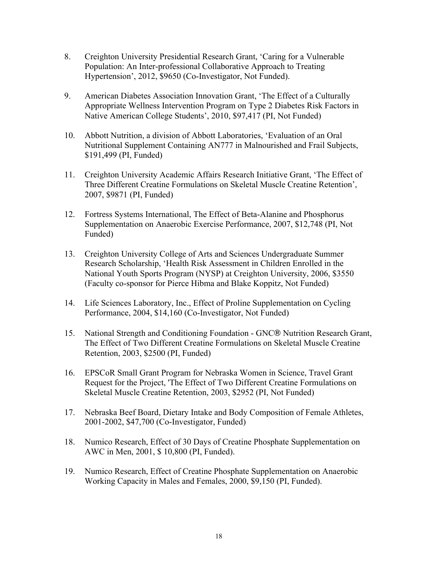- 8. Creighton University Presidential Research Grant, 'Caring for a Vulnerable Population: An Inter-professional Collaborative Approach to Treating Hypertension', 2012, \$9650 (Co-Investigator, Not Funded).
- 9. American Diabetes Association Innovation Grant, 'The Effect of a Culturally Appropriate Wellness Intervention Program on Type 2 Diabetes Risk Factors in Native American College Students', 2010, \$97,417 (PI, Not Funded)
- 10. Abbott Nutrition, a division of Abbott Laboratories, 'Evaluation of an Oral Nutritional Supplement Containing AN777 in Malnourished and Frail Subjects, \$191,499 (PI, Funded)
- 11. Creighton University Academic Affairs Research Initiative Grant, 'The Effect of Three Different Creatine Formulations on Skeletal Muscle Creatine Retention', 2007, \$9871 (PI, Funded)
- 12. Fortress Systems International, The Effect of Beta-Alanine and Phosphorus Supplementation on Anaerobic Exercise Performance, 2007, \$12,748 (PI, Not Funded)
- 13. Creighton University College of Arts and Sciences Undergraduate Summer Research Scholarship, 'Health Risk Assessment in Children Enrolled in the National Youth Sports Program (NYSP) at Creighton University, 2006, \$3550 (Faculty co-sponsor for Pierce Hibma and Blake Koppitz, Not Funded)
- 14. Life Sciences Laboratory, Inc., Effect of Proline Supplementation on Cycling Performance, 2004, \$14,160 (Co-Investigator, Not Funded)
- 15. National Strength and Conditioning Foundation GNC® Nutrition Research Grant, The Effect of Two Different Creatine Formulations on Skeletal Muscle Creatine Retention, 2003, \$2500 (PI, Funded)
- 16. EPSCoR Small Grant Program for Nebraska Women in Science, Travel Grant Request for the Project, 'The Effect of Two Different Creatine Formulations on Skeletal Muscle Creatine Retention, 2003, \$2952 (PI, Not Funded)
- 17. Nebraska Beef Board, Dietary Intake and Body Composition of Female Athletes, 2001-2002, \$47,700 (Co-Investigator, Funded)
- 18. Numico Research, Effect of 30 Days of Creatine Phosphate Supplementation on AWC in Men, 2001, \$ 10,800 (PI, Funded).
- 19. Numico Research, Effect of Creatine Phosphate Supplementation on Anaerobic Working Capacity in Males and Females, 2000, \$9,150 (PI, Funded).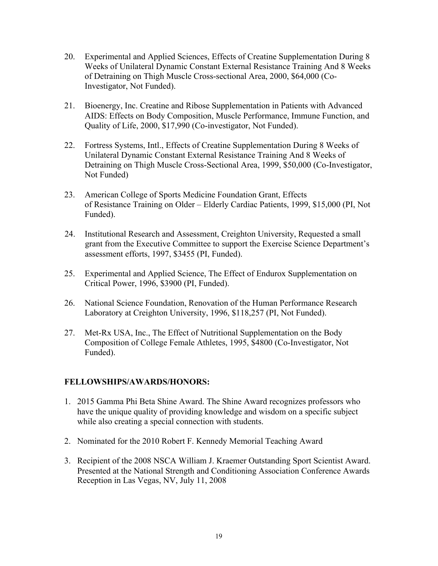- 20. Experimental and Applied Sciences, Effects of Creatine Supplementation During 8 Weeks of Unilateral Dynamic Constant External Resistance Training And 8 Weeks of Detraining on Thigh Muscle Cross-sectional Area, 2000, \$64,000 (Co-Investigator, Not Funded).
- 21. Bioenergy, Inc. Creatine and Ribose Supplementation in Patients with Advanced AIDS: Effects on Body Composition, Muscle Performance, Immune Function, and Quality of Life, 2000, \$17,990 (Co-investigator, Not Funded).
- 22. Fortress Systems, Intl., Effects of Creatine Supplementation During 8 Weeks of Unilateral Dynamic Constant External Resistance Training And 8 Weeks of Detraining on Thigh Muscle Cross-Sectional Area, 1999, \$50,000 (Co-Investigator, Not Funded)
- 23. American College of Sports Medicine Foundation Grant, Effects of Resistance Training on Older – Elderly Cardiac Patients, 1999, \$15,000 (PI, Not Funded).
- 24. Institutional Research and Assessment, Creighton University, Requested a small grant from the Executive Committee to support the Exercise Science Department's assessment efforts, 1997, \$3455 (PI, Funded).
- 25. Experimental and Applied Science, The Effect of Endurox Supplementation on Critical Power, 1996, \$3900 (PI, Funded).
- 26. National Science Foundation, Renovation of the Human Performance Research Laboratory at Creighton University, 1996, \$118,257 (PI, Not Funded).
- 27. Met-Rx USA, Inc., The Effect of Nutritional Supplementation on the Body Composition of College Female Athletes, 1995, \$4800 (Co-Investigator, Not Funded).

# **FELLOWSHIPS/AWARDS/HONORS:**

- 1. 2015 Gamma Phi Beta Shine Award. The Shine Award recognizes professors who have the unique quality of providing knowledge and wisdom on a specific subject while also creating a special connection with students.
- 2. Nominated for the 2010 Robert F. Kennedy Memorial Teaching Award
- 3. Recipient of the 2008 NSCA William J. Kraemer Outstanding Sport Scientist Award. Presented at the National Strength and Conditioning Association Conference Awards Reception in Las Vegas, NV, July 11, 2008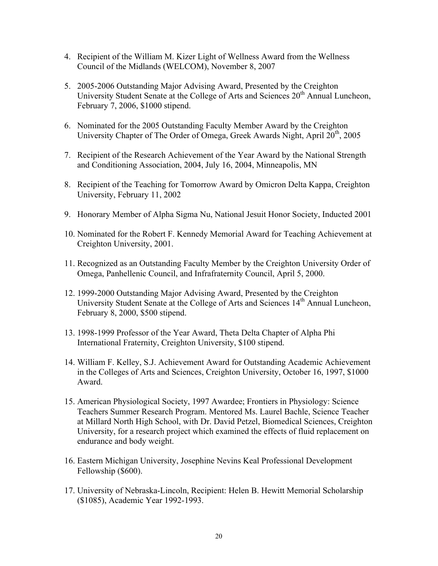- 4. Recipient of the William M. Kizer Light of Wellness Award from the Wellness Council of the Midlands (WELCOM), November 8, 2007
- 5. 2005-2006 Outstanding Major Advising Award, Presented by the Creighton University Student Senate at the College of Arts and Sciences  $20<sup>th</sup>$  Annual Luncheon, February 7, 2006, \$1000 stipend.
- 6. Nominated for the 2005 Outstanding Faculty Member Award by the Creighton University Chapter of The Order of Omega, Greek Awards Night, April 20<sup>th</sup>, 2005
- 7. Recipient of the Research Achievement of the Year Award by the National Strength and Conditioning Association, 2004, July 16, 2004, Minneapolis, MN
- 8. Recipient of the Teaching for Tomorrow Award by Omicron Delta Kappa, Creighton University, February 11, 2002
- 9. Honorary Member of Alpha Sigma Nu, National Jesuit Honor Society, Inducted 2001
- 10. Nominated for the Robert F. Kennedy Memorial Award for Teaching Achievement at Creighton University, 2001.
- 11. Recognized as an Outstanding Faculty Member by the Creighton University Order of Omega, Panhellenic Council, and Infrafraternity Council, April 5, 2000.
- 12. 1999-2000 Outstanding Major Advising Award, Presented by the Creighton University Student Senate at the College of Arts and Sciences 14<sup>th</sup> Annual Luncheon, February 8, 2000, \$500 stipend.
- 13. 1998-1999 Professor of the Year Award, Theta Delta Chapter of Alpha Phi International Fraternity, Creighton University, \$100 stipend.
- 14. William F. Kelley, S.J. Achievement Award for Outstanding Academic Achievement in the Colleges of Arts and Sciences, Creighton University, October 16, 1997, \$1000 Award.
- 15. American Physiological Society, 1997 Awardee; Frontiers in Physiology: Science Teachers Summer Research Program. Mentored Ms. Laurel Bachle, Science Teacher at Millard North High School, with Dr. David Petzel, Biomedical Sciences, Creighton University, for a research project which examined the effects of fluid replacement on endurance and body weight.
- 16. Eastern Michigan University, Josephine Nevins Keal Professional Development Fellowship (\$600).
- 17. University of Nebraska-Lincoln, Recipient: Helen B. Hewitt Memorial Scholarship (\$1085), Academic Year 1992-1993.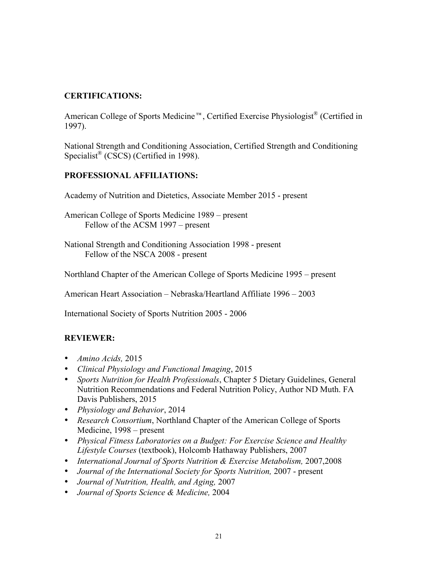# **CERTIFICATIONS:**

American College of Sports Medicine™, Certified Exercise Physiologist® (Certified in 1997).

National Strength and Conditioning Association, Certified Strength and Conditioning Specialist<sup>®</sup> (CSCS) (Certified in 1998).

# **PROFESSIONAL AFFILIATIONS:**

Academy of Nutrition and Dietetics, Associate Member 2015 - present

American College of Sports Medicine 1989 – present Fellow of the ACSM 1997 – present

National Strength and Conditioning Association 1998 - present Fellow of the NSCA 2008 - present

Northland Chapter of the American College of Sports Medicine 1995 – present

American Heart Association – Nebraska/Heartland Affiliate 1996 – 2003

International Society of Sports Nutrition 2005 - 2006

# **REVIEWER:**

- *Amino Acids,* 2015
- *Clinical Physiology and Functional Imaging*, 2015
- *Sports Nutrition for Health Professionals*, Chapter 5 Dietary Guidelines, General Nutrition Recommendations and Federal Nutrition Policy, Author ND Muth. FA Davis Publishers, 2015
- *Physiology and Behavior*, 2014
- *Research Consortium*, Northland Chapter of the American College of Sports Medicine, 1998 – present
- *Physical Fitness Laboratories on a Budget: For Exercise Science and Healthy Lifestyle Courses* (textbook), Holcomb Hathaway Publishers, 2007
- *International Journal of Sports Nutrition & Exercise Metabolism,* 2007,2008
- *Journal of the International Society for Sports Nutrition, 2007* present
- *Journal of Nutrition, Health, and Aging,* 2007
- *Journal of Sports Science & Medicine,* 2004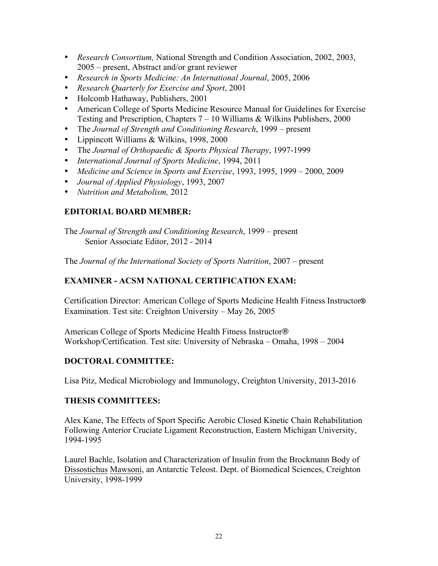- *Research Consortium,* National Strength and Condition Association, 2002, 2003, 2005 – present, Abstract and/or grant reviewer
- *Research in Sports Medicine: An International Journal*, 2005, 2006
- *Research Quarterly for Exercise and Sport*, 2001
- Holcomb Hathaway, Publishers, 2001
- American College of Sports Medicine Resource Manual for Guidelines for Exercise Testing and Prescription, Chapters 7 – 10 Williams & Wilkins Publishers, 2000
- The *Journal of Strength and Conditioning Research*, 1999 present
- Lippincott Williams & Wilkins, 1998, 2000
- The *Journal of Orthopaedic & Sports Physical Therapy*, 1997-1999
- *International Journal of Sports Medicine*, 1994, 2011
- *Medicine and Science in Sports and Exercise*, 1993, 1995, 1999 2000, 2009
- *Journal of Applied Physiology*, 1993, 2007
- *Nutrition and Metabolism,* 2012

# **EDITORIAL BOARD MEMBER:**

The *Journal of Strength and Conditioning Research*, 1999 – present Senior Associate Editor, 2012 - 2014

The *Journal of the International Society of Sports Nutrition*, 2007 – present

## **EXAMINER - ACSM NATIONAL CERTIFICATION EXAM:**

Certification Director: American College of Sports Medicine Health Fitness Instructor**®** Examination. Test site: Creighton University – May 26, 2005

American College of Sports Medicine Health Fitness Instructor® Workshop/Certification. Test site: University of Nebraska – Omaha, 1998 – 2004

#### **DOCTORAL COMMITTEE:**

Lisa Pitz, Medical Microbiology and Immunology, Creighton University, 2013-2016

#### **THESIS COMMITTEES:**

Alex Kane, The Effects of Sport Specific Aerobic Closed Kinetic Chain Rehabilitation Following Anterior Cruciate Ligament Reconstruction, Eastern Michigan University, 1994-1995

Laurel Bachle, Isolation and Characterization of Insulin from the Brockmann Body of Dissostichus Mawsoni, an Antarctic Teleost. Dept. of Biomedical Sciences, Creighton University, 1998-1999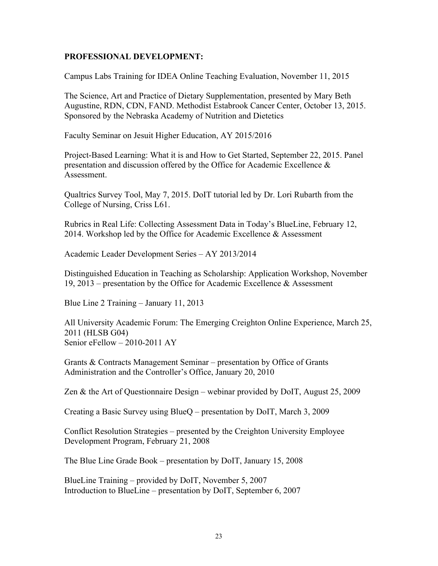### **PROFESSIONAL DEVELOPMENT:**

Campus Labs Training for IDEA Online Teaching Evaluation, November 11, 2015

The Science, Art and Practice of Dietary Supplementation, presented by Mary Beth Augustine, RDN, CDN, FAND. Methodist Estabrook Cancer Center, October 13, 2015. Sponsored by the Nebraska Academy of Nutrition and Dietetics

Faculty Seminar on Jesuit Higher Education, AY 2015/2016

Project-Based Learning: What it is and How to Get Started, September 22, 2015. Panel presentation and discussion offered by the Office for Academic Excellence & Assessment.

Qualtrics Survey Tool, May 7, 2015. DoIT tutorial led by Dr. Lori Rubarth from the College of Nursing, Criss L61.

Rubrics in Real Life: Collecting Assessment Data in Today's BlueLine, February 12, 2014. Workshop led by the Office for Academic Excellence & Assessment

Academic Leader Development Series – AY 2013/2014

Distinguished Education in Teaching as Scholarship: Application Workshop, November 19, 2013 – presentation by the Office for Academic Excellence & Assessment

Blue Line 2 Training – January 11, 2013

All University Academic Forum: The Emerging Creighton Online Experience, March 25, 2011 (HLSB G04) Senior eFellow – 2010-2011 AY

Grants & Contracts Management Seminar – presentation by Office of Grants Administration and the Controller's Office, January 20, 2010

Zen & the Art of Questionnaire Design – webinar provided by DoIT, August 25, 2009

Creating a Basic Survey using BlueQ – presentation by DoIT, March 3, 2009

Conflict Resolution Strategies – presented by the Creighton University Employee Development Program, February 21, 2008

The Blue Line Grade Book – presentation by DoIT, January 15, 2008

BlueLine Training – provided by DoIT, November 5, 2007 Introduction to BlueLine – presentation by DoIT, September 6, 2007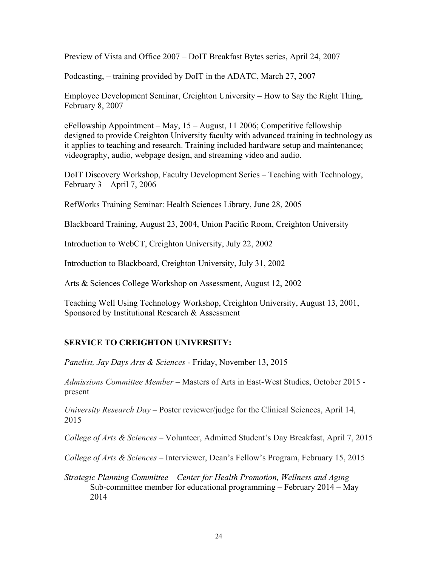Preview of Vista and Office 2007 – DoIT Breakfast Bytes series, April 24, 2007

Podcasting, – training provided by DoIT in the ADATC, March 27, 2007

Employee Development Seminar, Creighton University – How to Say the Right Thing, February 8, 2007

eFellowship Appointment – May, 15 – August, 11 2006; Competitive fellowship designed to provide Creighton University faculty with advanced training in technology as it applies to teaching and research. Training included hardware setup and maintenance; videography, audio, webpage design, and streaming video and audio.

DoIT Discovery Workshop, Faculty Development Series – Teaching with Technology, February  $3 -$ April 7, 2006

RefWorks Training Seminar: Health Sciences Library, June 28, 2005

Blackboard Training, August 23, 2004, Union Pacific Room, Creighton University

Introduction to WebCT, Creighton University, July 22, 2002

Introduction to Blackboard, Creighton University, July 31, 2002

Arts & Sciences College Workshop on Assessment, August 12, 2002

Teaching Well Using Technology Workshop, Creighton University, August 13, 2001, Sponsored by Institutional Research & Assessment

# **SERVICE TO CREIGHTON UNIVERSITY:**

*Panelist, Jay Days Arts & Sciences* - Friday, November 13, 2015

*Admissions Committee Member –* Masters of Arts in East-West Studies, October 2015 present

*University Research Day* – Poster reviewer/judge for the Clinical Sciences, April 14, 2015

*College of Arts & Sciences* – Volunteer, Admitted Student's Day Breakfast, April 7, 2015

*College of Arts & Sciences* – Interviewer, Dean's Fellow's Program, February 15, 2015

*Strategic Planning Committee – Center for Health Promotion, Wellness and Aging* Sub-committee member for educational programming – February 2014 – May 2014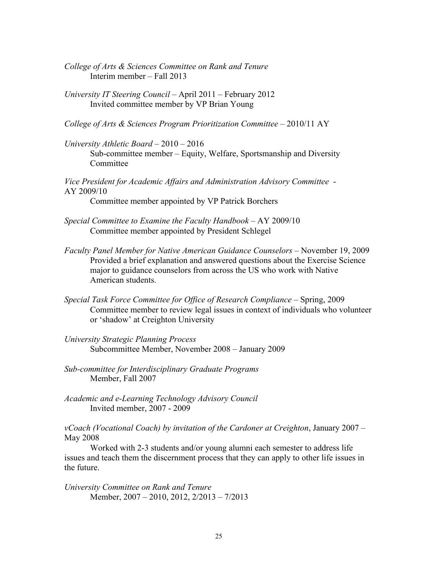- *College of Arts & Sciences Committee on Rank and Tenure* Interim member – Fall 2013
- *University IT Steering Council –* April 2011 February 2012 Invited committee member by VP Brian Young
- *College of Arts & Sciences Program Prioritization Committee*  2010/11 AY
- *University Athletic Board*  2010 2016 Sub-committee member – Equity, Welfare, Sportsmanship and Diversity **Committee**

*Vice President for Academic Affairs and Administration Advisory Committee* - AY 2009/10 Committee member appointed by VP Patrick Borchers

- *Special Committee to Examine the Faculty Handbook* AY 2009/10 Committee member appointed by President Schlegel
- *Faculty Panel Member for Native American Guidance Counselors*  November 19, 2009 Provided a brief explanation and answered questions about the Exercise Science major to guidance counselors from across the US who work with Native American students.
- *Special Task Force Committee for Office of Research Compliance*  Spring, 2009 Committee member to review legal issues in context of individuals who volunteer or 'shadow' at Creighton University
- *University Strategic Planning Process* Subcommittee Member, November 2008 – January 2009
- *Sub-committee for Interdisciplinary Graduate Programs*  Member, Fall 2007
- *Academic and e-Learning Technology Advisory Council* Invited member, 2007 - 2009

*vCoach (Vocational Coach) by invitation of the Cardoner at Creighton*, January 2007 – May 2008

Worked with 2-3 students and/or young alumni each semester to address life issues and teach them the discernment process that they can apply to other life issues in the future.

*University Committee on Rank and Tenure* Member, 2007 – 2010, 2012, 2/2013 – 7/2013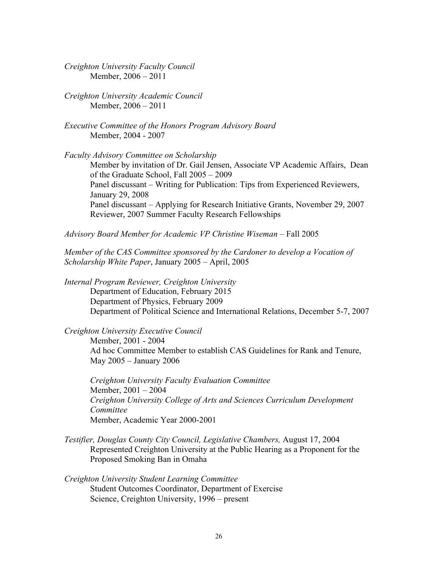*Creighton University Faculty Council* Member, 2006 – 2011

*Creighton University Academic Council* Member, 2006 – 2011

*Executive Committee of the Honors Program Advisory Board* Member, 2004 - 2007

*Faculty Advisory Committee on Scholarship*

Member by invitation of Dr. Gail Jensen, Associate VP Academic Affairs, Dean of the Graduate School, Fall 2005 – 2009 Panel discussant – Writing for Publication: Tips from Experienced Reviewers, January 29, 2008 Panel discussant – Applying for Research Initiative Grants, November 29, 2007 Reviewer, 2007 Summer Faculty Research Fellowships

*Advisory Board Member for Academic VP Christine Wiseman –* Fall 2005

*Member of the CAS Committee sponsored by the Cardoner to develop a Vocation of Scholarship White Paper*, January 2005 – April, 2005

*Internal Program Reviewer, Creighton University* Department of Education, February 2015 Department of Physics, February 2009 Department of Political Science and International Relations, December 5-7, 2007

*Creighton University Executive Council*

Member, 2001 - 2004 Ad hoc Committee Member to establish CAS Guidelines for Rank and Tenure, May 2005 – January 2006

*Creighton University Faculty Evaluation Committee* Member, 2001 – 2004 *Creighton University College of Arts and Sciences Curriculum Development Committee* Member, Academic Year 2000-2001

*Testifier, Douglas County City Council, Legislative Chambers,* August 17, 2004 Represented Creighton University at the Public Hearing as a Proponent for the Proposed Smoking Ban in Omaha

*Creighton University Student Learning Committee* Student Outcomes Coordinator, Department of Exercise Science, Creighton University, 1996 – present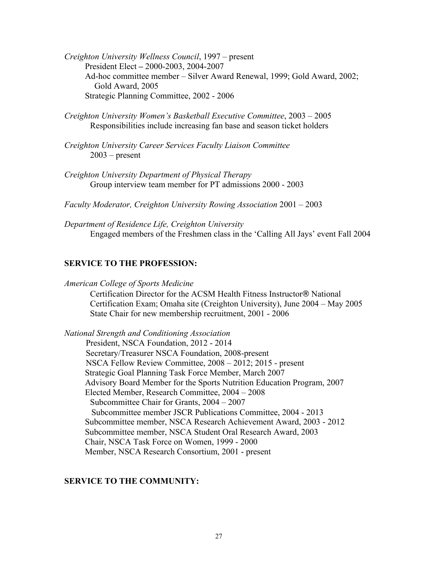*Creighton University Wellness Council*, 1997 – present President Elect **–** 2000-2003, 2004-2007 Ad-hoc committee member – Silver Award Renewal, 1999; Gold Award, 2002; Gold Award, 2005 Strategic Planning Committee, 2002 - 2006

- *Creighton University Women's Basketball Executive Committee*, 2003 2005 Responsibilities include increasing fan base and season ticket holders
- *Creighton University Career Services Faculty Liaison Committee*  $2003$  – present
- *Creighton University Department of Physical Therapy* Group interview team member for PT admissions 2000 - 2003

*Faculty Moderator, Creighton University Rowing Association* 2001 – 2003

*Department of Residence Life, Creighton University* Engaged members of the Freshmen class in the 'Calling All Jays' event Fall 2004

#### **SERVICE TO THE PROFESSION:**

*American College of Sports Medicine*

Certification Director for the ACSM Health Fitness Instructor® National Certification Exam; Omaha site (Creighton University), June 2004 – May 2005 State Chair for new membership recruitment, 2001 - 2006

*National Strength and Conditioning Association*  President, NSCA Foundation, 2012 - 2014 Secretary/Treasurer NSCA Foundation, 2008-present NSCA Fellow Review Committee, 2008 – 2012; 2015 - present Strategic Goal Planning Task Force Member, March 2007 Advisory Board Member for the Sports Nutrition Education Program, 2007 Elected Member, Research Committee, 2004 – 2008 Subcommittee Chair for Grants, 2004 – 2007 Subcommittee member JSCR Publications Committee, 2004 - 2013 Subcommittee member, NSCA Research Achievement Award, 2003 - 2012 Subcommittee member, NSCA Student Oral Research Award, 2003 Chair, NSCA Task Force on Women, 1999 - 2000 Member, NSCA Research Consortium, 2001 - present

#### **SERVICE TO THE COMMUNITY:**